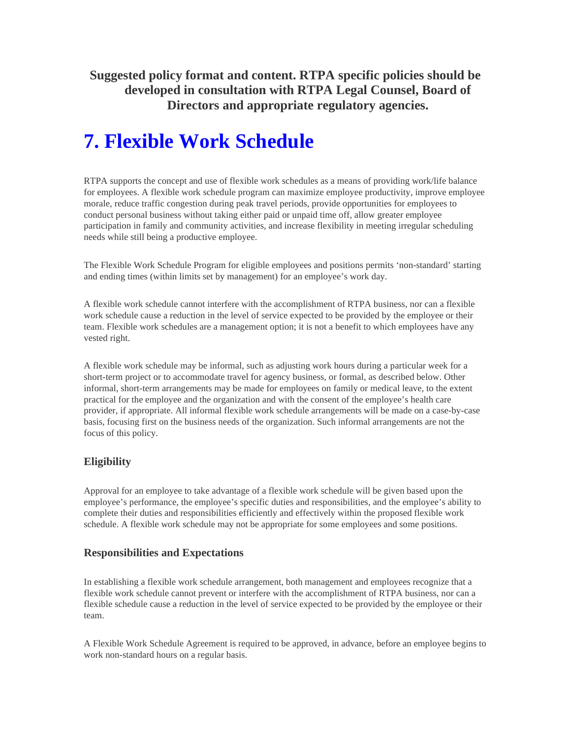**Suggested policy format and content. RTPA specific policies should be developed in consultation with RTPA Legal Counsel, Board of Directors and appropriate regulatory agencies.** 

# **7. Flexible Work Schedule**

RTPA supports the concept and use of flexible work schedules as a means of providing work/life balance for employees. A flexible work schedule program can maximize employee productivity, improve employee morale, reduce traffic congestion during peak travel periods, provide opportunities for employees to conduct personal business without taking either paid or unpaid time off, allow greater employee participation in family and community activities, and increase flexibility in meeting irregular scheduling needs while still being a productive employee.

The Flexible Work Schedule Program for eligible employees and positions permits 'non-standard' starting and ending times (within limits set by management) for an employee's work day.

A flexible work schedule cannot interfere with the accomplishment of RTPA business, nor can a flexible work schedule cause a reduction in the level of service expected to be provided by the employee or their team. Flexible work schedules are a management option; it is not a benefit to which employees have any vested right.

A flexible work schedule may be informal, such as adjusting work hours during a particular week for a short-term project or to accommodate travel for agency business, or formal, as described below. Other informal, short-term arrangements may be made for employees on family or medical leave, to the extent practical for the employee and the organization and with the consent of the employee's health care provider, if appropriate. All informal flexible work schedule arrangements will be made on a case-by-case basis, focusing first on the business needs of the organization. Such informal arrangements are not the focus of this policy.

## **Eligibility**

Approval for an employee to take advantage of a flexible work schedule will be given based upon the employee's performance, the employee's specific duties and responsibilities, and the employee's ability to complete their duties and responsibilities efficiently and effectively within the proposed flexible work schedule. A flexible work schedule may not be appropriate for some employees and some positions.

#### **Responsibilities and Expectations**

In establishing a flexible work schedule arrangement, both management and employees recognize that a flexible work schedule cannot prevent or interfere with the accomplishment of RTPA business, nor can a flexible schedule cause a reduction in the level of service expected to be provided by the employee or their team.

A Flexible Work Schedule Agreement is required to be approved, in advance, before an employee begins to work non-standard hours on a regular basis.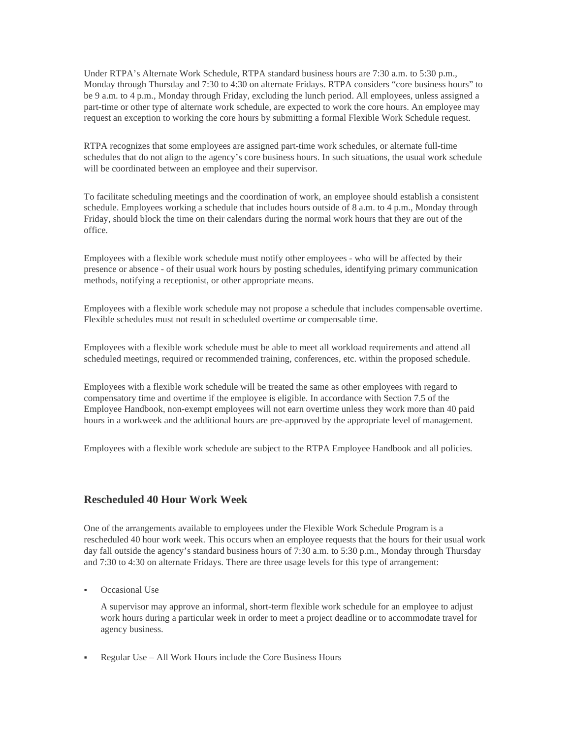Under RTPA's Alternate Work Schedule, RTPA standard business hours are 7:30 a.m. to 5:30 p.m., Monday through Thursday and 7:30 to 4:30 on alternate Fridays. RTPA considers "core business hours" to be 9 a.m. to 4 p.m., Monday through Friday, excluding the lunch period. All employees, unless assigned a part-time or other type of alternate work schedule, are expected to work the core hours. An employee may request an exception to working the core hours by submitting a formal Flexible Work Schedule request.

RTPA recognizes that some employees are assigned part-time work schedules, or alternate full-time schedules that do not align to the agency's core business hours. In such situations, the usual work schedule will be coordinated between an employee and their supervisor.

To facilitate scheduling meetings and the coordination of work, an employee should establish a consistent schedule. Employees working a schedule that includes hours outside of 8 a.m. to 4 p.m., Monday through Friday, should block the time on their calendars during the normal work hours that they are out of the office.

Employees with a flexible work schedule must notify other employees - who will be affected by their presence or absence - of their usual work hours by posting schedules, identifying primary communication methods, notifying a receptionist, or other appropriate means.

Employees with a flexible work schedule may not propose a schedule that includes compensable overtime. Flexible schedules must not result in scheduled overtime or compensable time.

Employees with a flexible work schedule must be able to meet all workload requirements and attend all scheduled meetings, required or recommended training, conferences, etc. within the proposed schedule.

Employees with a flexible work schedule will be treated the same as other employees with regard to compensatory time and overtime if the employee is eligible. In accordance with Section 7.5 of the Employee Handbook, non-exempt employees will not earn overtime unless they work more than 40 paid hours in a workweek and the additional hours are pre-approved by the appropriate level of management.

Employees with a flexible work schedule are subject to the RTPA Employee Handbook and all policies.

#### **Rescheduled 40 Hour Work Week**

One of the arrangements available to employees under the Flexible Work Schedule Program is a rescheduled 40 hour work week. This occurs when an employee requests that the hours for their usual work day fall outside the agency's standard business hours of 7:30 a.m. to 5:30 p.m., Monday through Thursday and 7:30 to 4:30 on alternate Fridays. There are three usage levels for this type of arrangement:

Occasional Use

A supervisor may approve an informal, short-term flexible work schedule for an employee to adjust work hours during a particular week in order to meet a project deadline or to accommodate travel for agency business.

Regular Use – All Work Hours include the Core Business Hours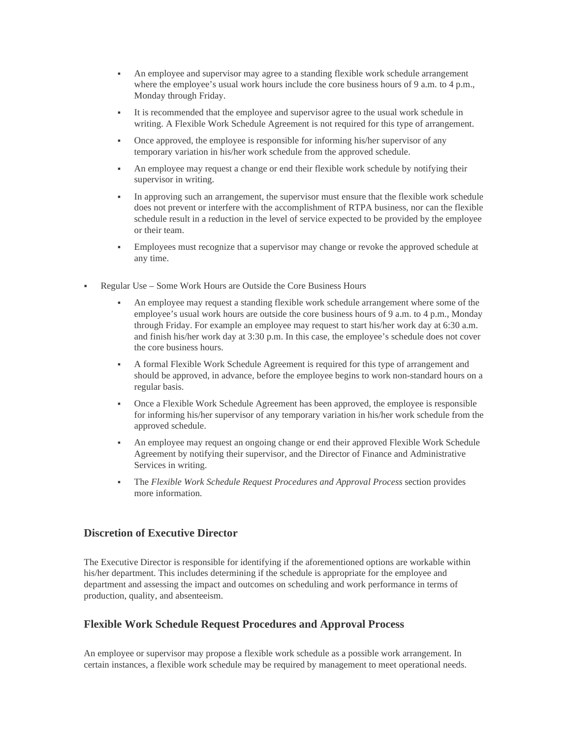- An employee and supervisor may agree to a standing flexible work schedule arrangement where the employee's usual work hours include the core business hours of 9 a.m. to 4 p.m., Monday through Friday.
- It is recommended that the employee and supervisor agree to the usual work schedule in writing. A Flexible Work Schedule Agreement is not required for this type of arrangement.
- Once approved, the employee is responsible for informing his/her supervisor of any temporary variation in his/her work schedule from the approved schedule.
- An employee may request a change or end their flexible work schedule by notifying their supervisor in writing.
- In approving such an arrangement, the supervisor must ensure that the flexible work schedule does not prevent or interfere with the accomplishment of RTPA business, nor can the flexible schedule result in a reduction in the level of service expected to be provided by the employee or their team.
- Employees must recognize that a supervisor may change or revoke the approved schedule at any time.
- Regular Use Some Work Hours are Outside the Core Business Hours
	- An employee may request a standing flexible work schedule arrangement where some of the employee's usual work hours are outside the core business hours of 9 a.m. to 4 p.m., Monday through Friday. For example an employee may request to start his/her work day at 6:30 a.m. and finish his/her work day at 3:30 p.m. In this case, the employee's schedule does not cover the core business hours.
	- A formal Flexible Work Schedule Agreement is required for this type of arrangement and should be approved, in advance, before the employee begins to work non-standard hours on a regular basis.
	- Once a Flexible Work Schedule Agreement has been approved, the employee is responsible for informing his/her supervisor of any temporary variation in his/her work schedule from the approved schedule.
	- An employee may request an ongoing change or end their approved Flexible Work Schedule Agreement by notifying their supervisor, and the Director of Finance and Administrative Services in writing.
	- The *Flexible Work Schedule Request Procedures and Approval Process* section provides more information.

#### **Discretion of Executive Director**

The Executive Director is responsible for identifying if the aforementioned options are workable within his/her department. This includes determining if the schedule is appropriate for the employee and department and assessing the impact and outcomes on scheduling and work performance in terms of production, quality, and absenteeism.

### **Flexible Work Schedule Request Procedures and Approval Process**

An employee or supervisor may propose a flexible work schedule as a possible work arrangement. In certain instances, a flexible work schedule may be required by management to meet operational needs.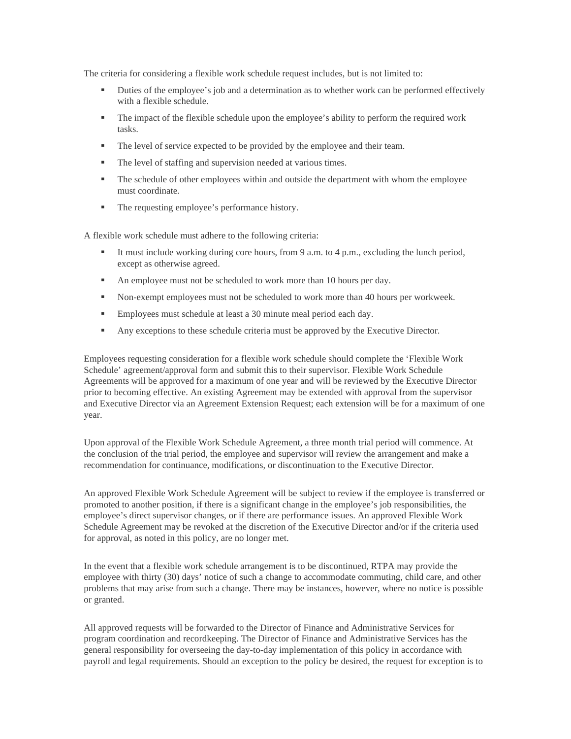The criteria for considering a flexible work schedule request includes, but is not limited to:

- **Duties of the employee's job and a determination as to whether work can be performed effectively** with a flexible schedule.
- The impact of the flexible schedule upon the employee's ability to perform the required work tasks.
- The level of service expected to be provided by the employee and their team.
- The level of staffing and supervision needed at various times.
- The schedule of other employees within and outside the department with whom the employee must coordinate.
- The requesting employee's performance history.

A flexible work schedule must adhere to the following criteria:

- It must include working during core hours, from  $9$  a.m. to  $4$  p.m., excluding the lunch period, except as otherwise agreed.
- An employee must not be scheduled to work more than 10 hours per day.
- Non-exempt employees must not be scheduled to work more than 40 hours per workweek.
- **Employees must schedule at least a 30 minute meal period each day.**
- Any exceptions to these schedule criteria must be approved by the Executive Director.

Employees requesting consideration for a flexible work schedule should complete the 'Flexible Work Schedule' agreement/approval form and submit this to their supervisor. Flexible Work Schedule Agreements will be approved for a maximum of one year and will be reviewed by the Executive Director prior to becoming effective. An existing Agreement may be extended with approval from the supervisor and Executive Director via an Agreement Extension Request; each extension will be for a maximum of one year.

Upon approval of the Flexible Work Schedule Agreement, a three month trial period will commence. At the conclusion of the trial period, the employee and supervisor will review the arrangement and make a recommendation for continuance, modifications, or discontinuation to the Executive Director.

An approved Flexible Work Schedule Agreement will be subject to review if the employee is transferred or promoted to another position, if there is a significant change in the employee's job responsibilities, the employee's direct supervisor changes, or if there are performance issues. An approved Flexible Work Schedule Agreement may be revoked at the discretion of the Executive Director and/or if the criteria used for approval, as noted in this policy, are no longer met.

In the event that a flexible work schedule arrangement is to be discontinued, RTPA may provide the employee with thirty (30) days' notice of such a change to accommodate commuting, child care, and other problems that may arise from such a change. There may be instances, however, where no notice is possible or granted.

All approved requests will be forwarded to the Director of Finance and Administrative Services for program coordination and recordkeeping. The Director of Finance and Administrative Services has the general responsibility for overseeing the day-to-day implementation of this policy in accordance with payroll and legal requirements. Should an exception to the policy be desired, the request for exception is to